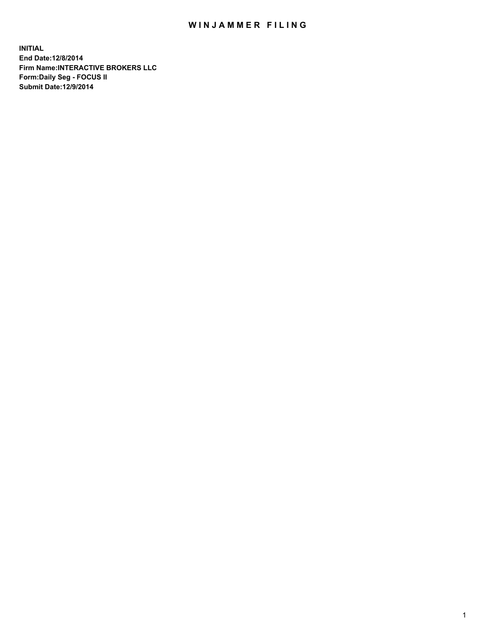## WIN JAMMER FILING

**INITIAL End Date:12/8/2014 Firm Name:INTERACTIVE BROKERS LLC Form:Daily Seg - FOCUS II Submit Date:12/9/2014**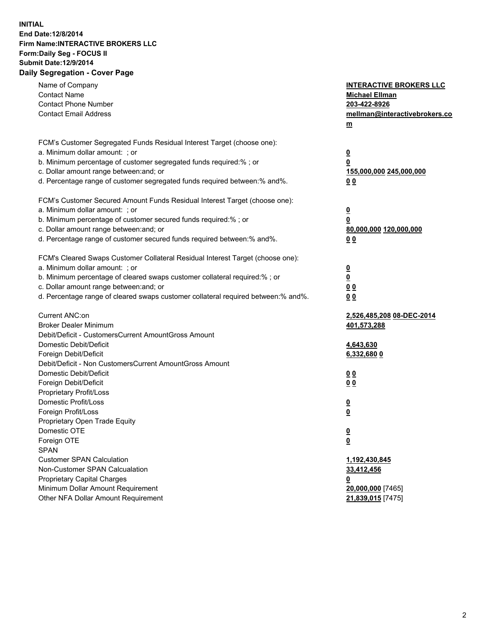## **INITIAL End Date:12/8/2014 Firm Name:INTERACTIVE BROKERS LLC Form:Daily Seg - FOCUS II Submit Date:12/9/2014 Daily Segregation - Cover Page**

| Name of Company<br><b>Contact Name</b><br><b>Contact Phone Number</b><br><b>Contact Email Address</b>                                                                                                                                                                                                                          | <b>INTERACTIVE BROKERS LLC</b><br><b>Michael Ellman</b><br>203-422-8926<br>mellman@interactivebrokers.co<br>$m$ |
|--------------------------------------------------------------------------------------------------------------------------------------------------------------------------------------------------------------------------------------------------------------------------------------------------------------------------------|-----------------------------------------------------------------------------------------------------------------|
| FCM's Customer Segregated Funds Residual Interest Target (choose one):<br>a. Minimum dollar amount: ; or<br>b. Minimum percentage of customer segregated funds required:% ; or<br>c. Dollar amount range between: and; or<br>d. Percentage range of customer segregated funds required between:% and%.                         | $\overline{\mathbf{0}}$<br>0<br>155,000,000 245,000,000<br>0 <sub>0</sub>                                       |
| FCM's Customer Secured Amount Funds Residual Interest Target (choose one):<br>a. Minimum dollar amount: ; or<br>b. Minimum percentage of customer secured funds required:% ; or<br>c. Dollar amount range between: and; or<br>d. Percentage range of customer secured funds required between:% and%.                           | $\overline{\mathbf{0}}$<br>0<br>80,000,000 120,000,000<br>0 <sub>0</sub>                                        |
| FCM's Cleared Swaps Customer Collateral Residual Interest Target (choose one):<br>a. Minimum dollar amount: ; or<br>b. Minimum percentage of cleared swaps customer collateral required:% ; or<br>c. Dollar amount range between: and; or<br>d. Percentage range of cleared swaps customer collateral required between:% and%. | $\overline{\mathbf{0}}$<br>$\underline{\mathbf{0}}$<br>0 <sub>0</sub><br>0 <sub>0</sub>                         |
| Current ANC:on<br><b>Broker Dealer Minimum</b><br>Debit/Deficit - CustomersCurrent AmountGross Amount<br>Domestic Debit/Deficit<br>Foreign Debit/Deficit                                                                                                                                                                       | 2,526,485,208 08-DEC-2014<br>401,573,288<br>4,643,630<br>6,332,680 0                                            |
| Debit/Deficit - Non CustomersCurrent AmountGross Amount<br>Domestic Debit/Deficit<br>Foreign Debit/Deficit<br>Proprietary Profit/Loss<br>Domestic Profit/Loss<br>Foreign Profit/Loss                                                                                                                                           | 0 <sub>0</sub><br>0 <sub>0</sub><br>$\overline{\mathbf{0}}$<br>$\overline{\mathbf{0}}$                          |
| Proprietary Open Trade Equity<br>Domestic OTE<br>Foreign OTE<br><b>SPAN</b><br><b>Customer SPAN Calculation</b><br>Non-Customer SPAN Calcualation                                                                                                                                                                              | $\underline{\mathbf{0}}$<br><u>0</u><br>1,192,430,845<br>33,412,456                                             |
| <b>Proprietary Capital Charges</b><br>Minimum Dollar Amount Requirement<br>Other NFA Dollar Amount Requirement                                                                                                                                                                                                                 | 0<br>20,000,000 [7465]<br>21,839,015 [7475]                                                                     |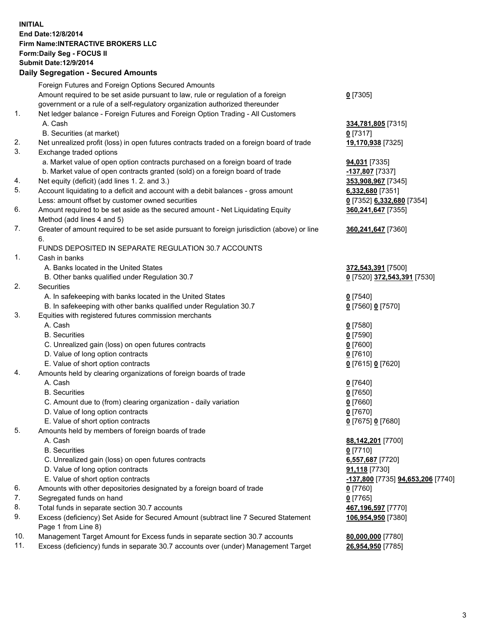## **INITIAL End Date:12/8/2014 Firm Name:INTERACTIVE BROKERS LLC Form:Daily Seg - FOCUS II Submit Date:12/9/2014 Daily Segregation - Secured Amounts**

|     | Foreign Futures and Foreign Options Secured Amounts                                         |                                   |
|-----|---------------------------------------------------------------------------------------------|-----------------------------------|
|     | Amount required to be set aside pursuant to law, rule or regulation of a foreign            | $0$ [7305]                        |
|     | government or a rule of a self-regulatory organization authorized thereunder                |                                   |
| 1.  | Net ledger balance - Foreign Futures and Foreign Option Trading - All Customers             |                                   |
|     | A. Cash                                                                                     | 334,781,805 [7315]                |
|     | B. Securities (at market)                                                                   | $0$ [7317]                        |
| 2.  | Net unrealized profit (loss) in open futures contracts traded on a foreign board of trade   | 19,170,938 [7325]                 |
| 3.  | Exchange traded options                                                                     |                                   |
|     | a. Market value of open option contracts purchased on a foreign board of trade              | 94,031 [7335]                     |
|     | b. Market value of open contracts granted (sold) on a foreign board of trade                | -137,807 [7337]                   |
| 4.  | Net equity (deficit) (add lines 1.2. and 3.)                                                | 353,908,967 [7345]                |
| 5.  | Account liquidating to a deficit and account with a debit balances - gross amount           | 6,332,680 [7351]                  |
|     | Less: amount offset by customer owned securities                                            |                                   |
| 6.  |                                                                                             | 0 [7352] 6,332,680 [7354]         |
|     | Amount required to be set aside as the secured amount - Net Liquidating Equity              | 360,241,647 [7355]                |
|     | Method (add lines 4 and 5)                                                                  |                                   |
| 7.  | Greater of amount required to be set aside pursuant to foreign jurisdiction (above) or line | 360,241,647 [7360]                |
|     | 6.                                                                                          |                                   |
|     | FUNDS DEPOSITED IN SEPARATE REGULATION 30.7 ACCOUNTS                                        |                                   |
| 1.  | Cash in banks                                                                               |                                   |
|     | A. Banks located in the United States                                                       | 372,543,391 [7500]                |
|     | B. Other banks qualified under Regulation 30.7                                              | 0 [7520] 372,543,391 [7530]       |
| 2.  | Securities                                                                                  |                                   |
|     | A. In safekeeping with banks located in the United States                                   | $0$ [7540]                        |
|     | B. In safekeeping with other banks qualified under Regulation 30.7                          | 0 [7560] 0 [7570]                 |
| 3.  | Equities with registered futures commission merchants                                       |                                   |
|     | A. Cash                                                                                     | $0$ [7580]                        |
|     | <b>B.</b> Securities                                                                        | $0$ [7590]                        |
|     | C. Unrealized gain (loss) on open futures contracts                                         | $0$ [7600]                        |
|     | D. Value of long option contracts                                                           | $0$ [7610]                        |
|     | E. Value of short option contracts                                                          | 0 [7615] 0 [7620]                 |
| 4.  | Amounts held by clearing organizations of foreign boards of trade                           |                                   |
|     | A. Cash                                                                                     | $0$ [7640]                        |
|     | <b>B.</b> Securities                                                                        | $0$ [7650]                        |
|     | C. Amount due to (from) clearing organization - daily variation                             | $0$ [7660]                        |
|     | D. Value of long option contracts                                                           | $0$ [7670]                        |
|     | E. Value of short option contracts                                                          | 0 [7675] 0 [7680]                 |
| 5.  | Amounts held by members of foreign boards of trade                                          |                                   |
|     | A. Cash                                                                                     | 88,142,201 [7700]                 |
|     | <b>B.</b> Securities                                                                        | $0$ [7710]                        |
|     | C. Unrealized gain (loss) on open futures contracts                                         | 6,557,687 [7720]                  |
|     | D. Value of long option contracts                                                           | 91,118 [7730]                     |
|     | E. Value of short option contracts                                                          | -137,800 [7735] 94,653,206 [7740] |
| 6.  | Amounts with other depositories designated by a foreign board of trade                      | $0$ [7760]                        |
| 7.  | Segregated funds on hand                                                                    | $0$ [7765]                        |
| 8.  | Total funds in separate section 30.7 accounts                                               | 467,196,597 [7770]                |
| 9.  | Excess (deficiency) Set Aside for Secured Amount (subtract line 7 Secured Statement         | 106,954,950 [7380]                |
|     | Page 1 from Line 8)                                                                         |                                   |
| 10. | Management Target Amount for Excess funds in separate section 30.7 accounts                 | 80,000,000 [7780]                 |
| 11. | Excess (deficiency) funds in separate 30.7 accounts over (under) Management Target          | 26,954,950 [7785]                 |
|     |                                                                                             |                                   |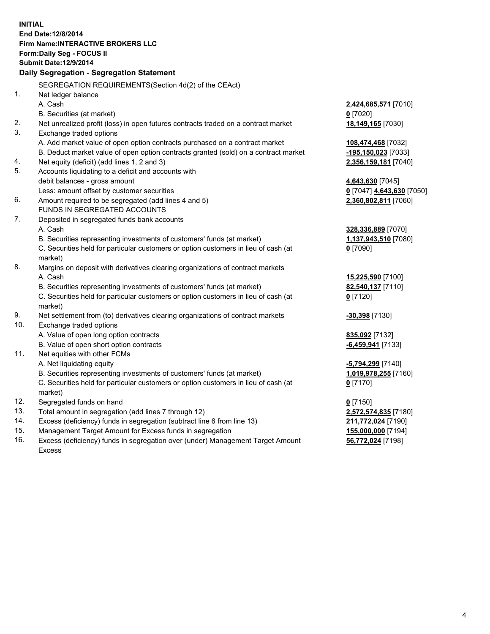**INITIAL End Date:12/8/2014 Firm Name:INTERACTIVE BROKERS LLC Form:Daily Seg - FOCUS II Submit Date:12/9/2014 Daily Segregation - Segregation Statement** SEGREGATION REQUIREMENTS(Section 4d(2) of the CEAct) 1. Net ledger balance A. Cash **2,424,685,571** [7010] B. Securities (at market) **0** [7020] 2. Net unrealized profit (loss) in open futures contracts traded on a contract market **18,149,165** [7030] 3. Exchange traded options A. Add market value of open option contracts purchased on a contract market **108,474,468** [7032] B. Deduct market value of open option contracts granted (sold) on a contract market **-195,150,023** [7033] 4. Net equity (deficit) (add lines 1, 2 and 3) **2,356,159,181** [7040] 5. Accounts liquidating to a deficit and accounts with debit balances - gross amount **4,643,630** [7045] Less: amount offset by customer securities **0** [7047] **4,643,630** [7050] 6. Amount required to be segregated (add lines 4 and 5) **2,360,802,811** [7060] FUNDS IN SEGREGATED ACCOUNTS 7. Deposited in segregated funds bank accounts A. Cash **328,336,889** [7070] B. Securities representing investments of customers' funds (at market) **1,137,943,510** [7080] C. Securities held for particular customers or option customers in lieu of cash (at market) **0** [7090] 8. Margins on deposit with derivatives clearing organizations of contract markets A. Cash **15,225,590** [7100] B. Securities representing investments of customers' funds (at market) **82,540,137** [7110] C. Securities held for particular customers or option customers in lieu of cash (at market) **0** [7120] 9. Net settlement from (to) derivatives clearing organizations of contract markets **-30,398** [7130] 10. Exchange traded options A. Value of open long option contracts **835,092** [7132] B. Value of open short option contracts **-6,459,941** [7133] 11. Net equities with other FCMs A. Net liquidating equity **-5,794,299** [7140] B. Securities representing investments of customers' funds (at market) **1,019,978,255** [7160] C. Securities held for particular customers or option customers in lieu of cash (at market) **0** [7170] 12. Segregated funds on hand **0** [7150] 13. Total amount in segregation (add lines 7 through 12) **2,572,574,835** [7180] 14. Excess (deficiency) funds in segregation (subtract line 6 from line 13) **211,772,024** [7190] 15. Management Target Amount for Excess funds in segregation **155,000,000** [7194]

16. Excess (deficiency) funds in segregation over (under) Management Target Amount Excess

**56,772,024** [7198]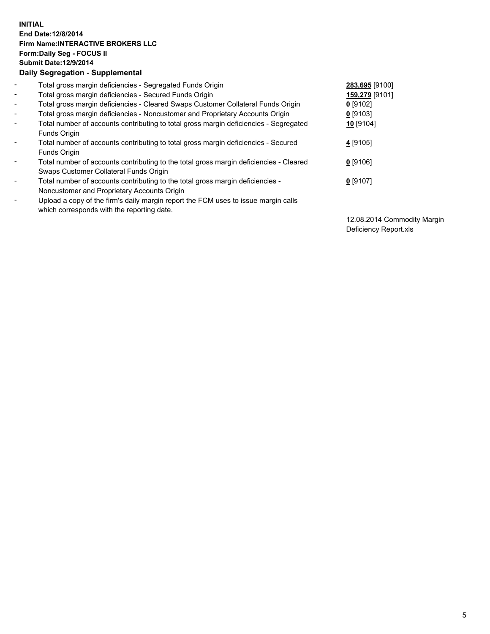## **INITIAL End Date:12/8/2014 Firm Name:INTERACTIVE BROKERS LLC Form:Daily Seg - FOCUS II Submit Date:12/9/2014 Daily Segregation - Supplemental**

| $\blacksquare$           | Total gross margin deficiencies - Segregated Funds Origin                              | 283,695 [9100] |
|--------------------------|----------------------------------------------------------------------------------------|----------------|
| $\blacksquare$           | Total gross margin deficiencies - Secured Funds Origin                                 | 159,279 [9101] |
| $\blacksquare$           | Total gross margin deficiencies - Cleared Swaps Customer Collateral Funds Origin       | $0$ [9102]     |
| $\blacksquare$           | Total gross margin deficiencies - Noncustomer and Proprietary Accounts Origin          | $0$ [9103]     |
| $\blacksquare$           | Total number of accounts contributing to total gross margin deficiencies - Segregated  | 10 [9104]      |
|                          | Funds Origin                                                                           |                |
| $\blacksquare$           | Total number of accounts contributing to total gross margin deficiencies - Secured     | 4 [9105]       |
|                          | Funds Origin                                                                           |                |
| $\blacksquare$           | Total number of accounts contributing to the total gross margin deficiencies - Cleared | $0$ [9106]     |
|                          | Swaps Customer Collateral Funds Origin                                                 |                |
| $\overline{\phantom{a}}$ | Total number of accounts contributing to the total gross margin deficiencies -         | $0$ [9107]     |
|                          | Noncustomer and Proprietary Accounts Origin                                            |                |
| $\overline{\phantom{a}}$ | Upload a copy of the firm's daily margin report the FCM uses to issue margin calls     |                |
|                          | which corresponds with the reporting date.                                             |                |

12.08.2014 Commodity Margin Deficiency Report.xls